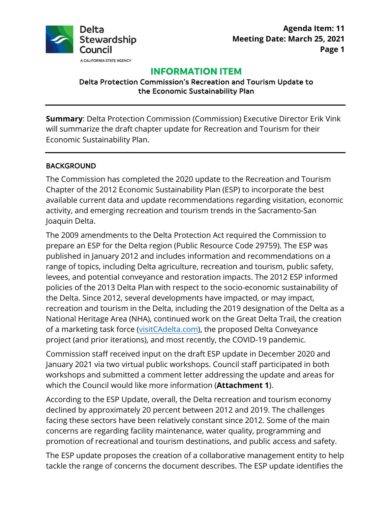

**Agenda Item: 11 Page 1 Meeting Date: March 25, 2021** 

# **INFORMATION ITEM**

Delta Protection Commission's Recreation and Tourism Update to the Economic Sustainability Plan

**Summary**: Delta Protection Commission (Commission) Executive Director Erik Vink will summarize the draft chapter update for Recreation and Tourism for their Economic Sustainability Plan.

#### BACKGROUND

 Chapter of the 2012 Economic Sustainability Plan (ESP) to incorporate the best The Commission has completed the 2020 update to the Recreation and Tourism available current data and update recommendations regarding visitation, economic activity, and emerging recreation and tourism trends in the Sacramento-San Joaquin Delta.

 policies of the 2013 Delta Plan with respect to the socio-economic sustainability of the Delta. Since 2012, several developments have impacted, or may impact, The 2009 amendments to the Delta Protection Act required the Commission to prepare an ESP for the Delta region (Public Resource Code 29759). The ESP was published in January 2012 and includes information and recommendations on a range of topics, including Delta agriculture, recreation and tourism, public safety, levees, and potential conveyance and restoration impacts. The 2012 ESP informed recreation and tourism in the Delta, including the 2019 designation of the Delta as a National Heritage Area (NHA), continued work on the Great Delta Trail, the creation of a marketing task force ([visitCAdelta.com](https://visitCAdelta.com)), the proposed Delta Conveyance project (and prior iterations), and most recently, the COVID-19 pandemic.

 January 2021 via two virtual public workshops. Council staff participated in both Commission staff received input on the draft ESP update in December 2020 and workshops and submitted a comment letter addressing the update and areas for which the Council would like more information (**Attachment 1**).

 declined by approximately 20 percent between 2012 and 2019. The challenges According to the ESP Update, overall, the Delta recreation and tourism economy facing these sectors have been relatively constant since 2012. Some of the main concerns are regarding facility maintenance, water quality, programming and promotion of recreational and tourism destinations, and public access and safety.

 The ESP update proposes the creation of a collaborative management entity to help tackle the range of concerns the document describes. The ESP update identifies the